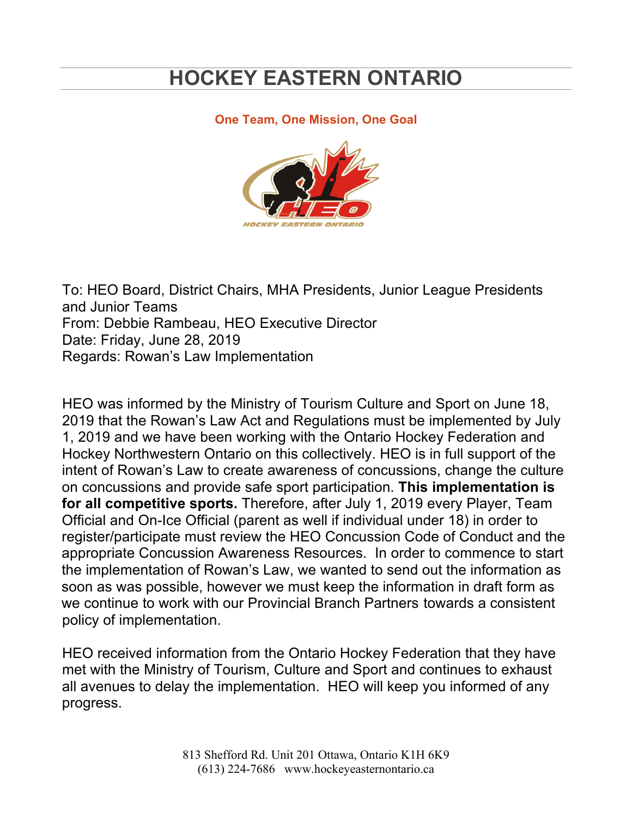# **HOCKEY EASTERN ONTARIO**

#### **One Team, One Mission, One Goal**



To: HEO Board, District Chairs, MHA Presidents, Junior League Presidents and Junior Teams From: Debbie Rambeau, HEO Executive Director Date: Friday, June 28, 2019 Regards: Rowan's Law Implementation

HEO was informed by the Ministry of Tourism Culture and Sport on June 18, 2019 that the Rowan's Law Act and Regulations must be implemented by July 1, 2019 and we have been working with the Ontario Hockey Federation and Hockey Northwestern Ontario on this collectively. HEO is in full support of the intent of Rowan's Law to create awareness of concussions, change the culture on concussions and provide safe sport participation. **This implementation is for all competitive sports.** Therefore, after July 1, 2019 every Player, Team Official and On-Ice Official (parent as well if individual under 18) in order to register/participate must review the HEO Concussion Code of Conduct and the appropriate Concussion Awareness Resources. In order to commence to start the implementation of Rowan's Law, we wanted to send out the information as soon as was possible, however we must keep the information in draft form as we continue to work with our Provincial Branch Partners towards a consistent policy of implementation.

HEO received information from the Ontario Hockey Federation that they have met with the Ministry of Tourism, Culture and Sport and continues to exhaust all avenues to delay the implementation. HEO will keep you informed of any progress.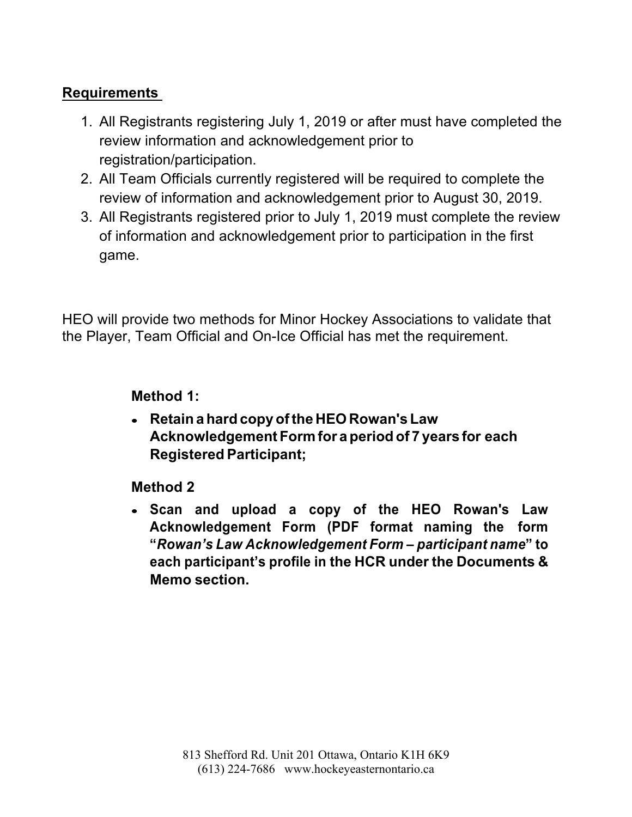## **Requirements**

- 1. All Registrants registering July 1, 2019 or after must have completed the review information and acknowledgement prior to registration/participation.
- 2. All Team Officials currently registered will be required to complete the review of information and acknowledgement prior to August 30, 2019.
- 3. All Registrants registered prior to July 1, 2019 must complete the review of information and acknowledgement prior to participation in the first game.

HEO will provide two methods for Minor Hockey Associations to validate that the Player, Team Official and On-Ice Official has met the requirement.

### **Method 1:**

• **Retain a hard copy ofthe HEORowan's Law Acknowledgement Form for a period of 7 years for each Registered Participant;**

#### **Method 2**

• **Scan and upload a copy of the HEO Rowan's Law Acknowledgement Form (PDF format naming the form "***Rowan's Law Acknowledgement Form – participant name***" to each participant's profile in the HCR under the Documents & Memo section.**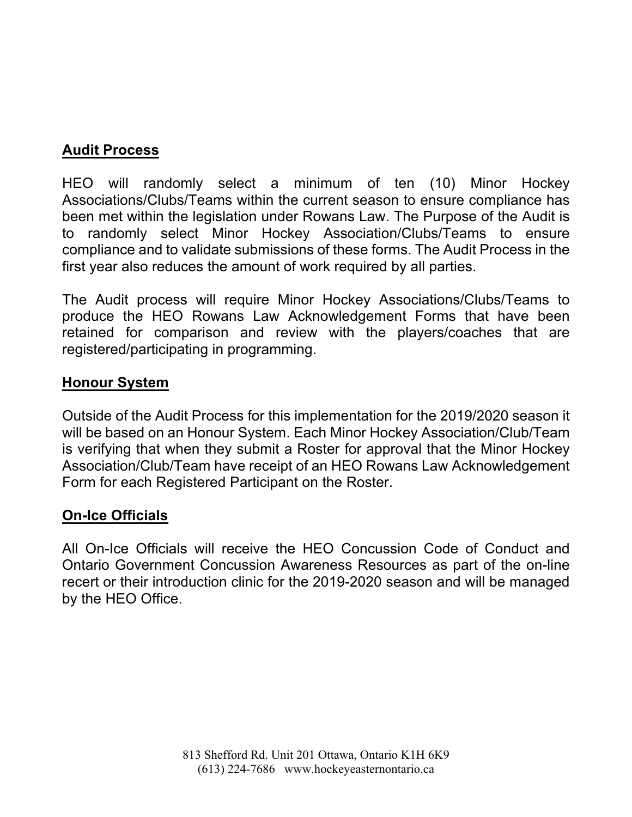## **Audit Process**

HEO will randomly select a minimum of ten (10) Minor Hockey Associations/Clubs/Teams within the current season to ensure compliance has been met within the legislation under Rowans Law. The Purpose of the Audit is to randomly select Minor Hockey Association/Clubs/Teams to ensure compliance and to validate submissions of these forms. The Audit Process in the first year also reduces the amount of work required by all parties.

The Audit process will require Minor Hockey Associations/Clubs/Teams to produce the HEO Rowans Law Acknowledgement Forms that have been retained for comparison and review with the players/coaches that are registered/participating in programming.

### **Honour System**

Outside of the Audit Process for this implementation for the 2019/2020 season it will be based on an Honour System. Each Minor Hockey Association/Club/Team is verifying that when they submit a Roster for approval that the Minor Hockey Association/Club/Team have receipt of an HEO Rowans Law Acknowledgement Form for each Registered Participant on the Roster.

## **On-Ice Officials**

All On-Ice Officials will receive the HEO Concussion Code of Conduct and Ontario Government Concussion Awareness Resources as part of the on-line recert or their introduction clinic for the 2019-2020 season and will be managed by the HEO Office.